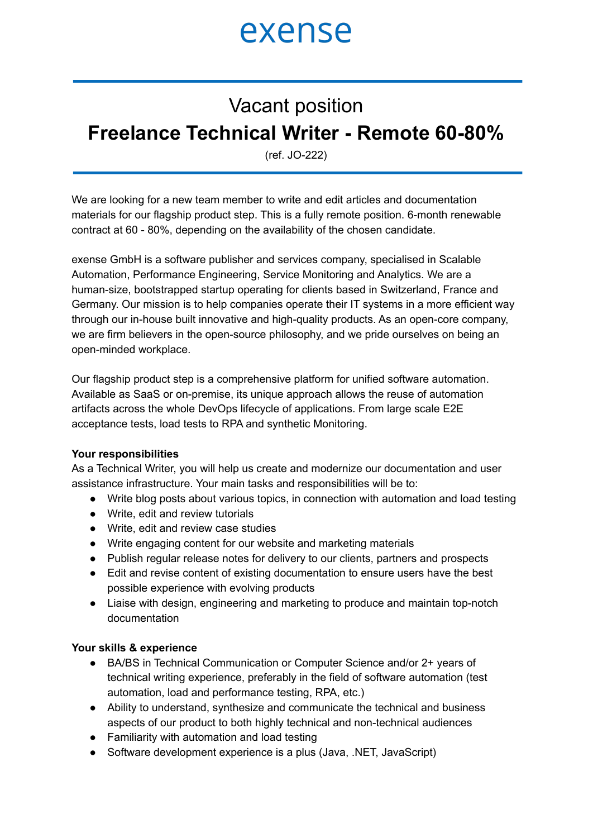### exense

### Vacant position **Freelance Technical Writer - Remote 60-80%**

(ref. JO-222)

We are looking for a new team member to write and edit articles and documentation materials for our flagship product step. This is a fully remote position. 6-month renewable contract at 60 - 80%, depending on the availability of the chosen candidate.

exense GmbH is a software publisher and services company, specialised in Scalable Automation, Performance Engineering, Service Monitoring and Analytics. We are a human-size, bootstrapped startup operating for clients based in Switzerland, France and Germany. Our mission is to help companies operate their IT systems in a more efficient way through our in-house built innovative and high-quality products. As an open-core company, we are firm believers in the open-source philosophy, and we pride ourselves on being an open-minded workplace.

Our flagship product step is a comprehensive platform for unified software automation. Available as SaaS or on-premise, its unique approach allows the reuse of automation artifacts across the whole DevOps lifecycle of applications. From large scale E2E acceptance tests, load tests to RPA and synthetic Monitoring.

#### **Your responsibilities**

As a Technical Writer, you will help us create and modernize our documentation and user assistance infrastructure. Your main tasks and responsibilities will be to:

- Write blog posts about various topics, in connection with automation and load testing
- Write, edit and review tutorials
- Write, edit and review case studies
- Write engaging content for our website and marketing materials
- Publish regular release notes for delivery to our clients, partners and prospects
- Edit and revise content of existing documentation to ensure users have the best possible experience with evolving products
- Liaise with design, engineering and marketing to produce and maintain top-notch documentation

#### **Your skills & experience**

- BA/BS in Technical Communication or Computer Science and/or 2+ years of technical writing experience, preferably in the field of software automation (test automation, load and performance testing, RPA, etc.)
- Ability to understand, synthesize and communicate the technical and business aspects of our product to both highly technical and non-technical audiences
- Familiarity with automation and load testing
- Software development experience is a plus (Java, .NET, JavaScript)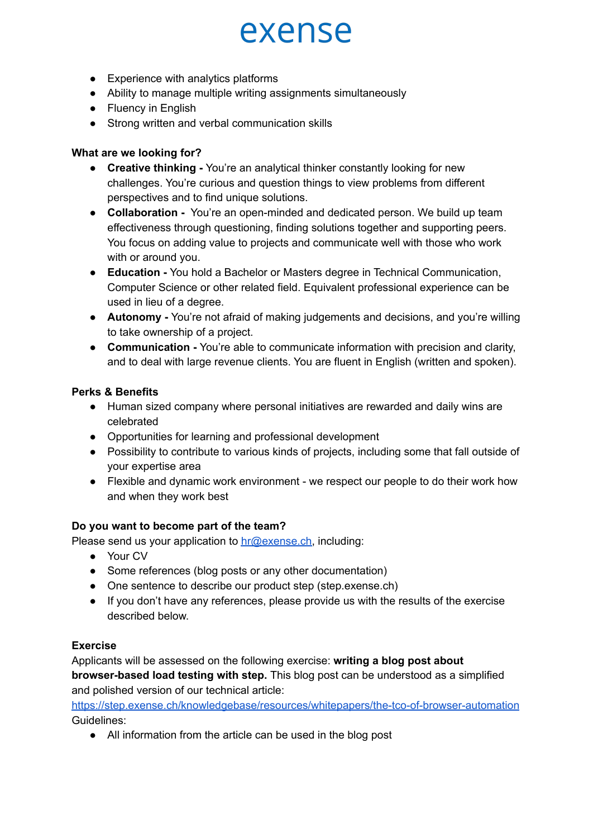# exense

- Experience with analytics platforms
- Ability to manage multiple writing assignments simultaneously
- Fluency in English
- Strong written and verbal communication skills

#### **What are we looking for?**

- **Creative thinking -** You're an analytical thinker constantly looking for new challenges. You're curious and question things to view problems from different perspectives and to find unique solutions.
- **Collaboration -** You're an open-minded and dedicated person. We build up team effectiveness through questioning, finding solutions together and supporting peers. You focus on adding value to projects and communicate well with those who work with or around you.
- **Education -** You hold a Bachelor or Masters degree in Technical Communication, Computer Science or other related field. Equivalent professional experience can be used in lieu of a degree.
- **Autonomy -** You're not afraid of making judgements and decisions, and you're willing to take ownership of a project.
- **Communication -** You're able to communicate information with precision and clarity, and to deal with large revenue clients. You are fluent in English (written and spoken).

#### **Perks & Benefits**

- Human sized company where personal initiatives are rewarded and daily wins are celebrated
- Opportunities for learning and professional development
- Possibility to contribute to various kinds of projects, including some that fall outside of your expertise area
- Flexible and dynamic work environment we respect our people to do their work how and when they work best

#### **Do you want to become part of the team?**

Please send us your application to [hr@exense.ch,](mailto:contact@exense.ch) including:

- Your CV
- Some references (blog posts or any other documentation)
- One sentence to describe our product step (step.exense.ch)
- If you don't have any references, please provide us with the results of the exercise described below.

#### **Exercise**

Applicants will be assessed on the following exercise: **writing a blog post about browser-based load testing with step.** This blog post can be understood as a simplified and polished version of our technical article:

[https://step.exense.ch/knowledgebase/resources/whitepapers/the-tco-of-browser-automation](https://step.exense.ch/knowledgebase/resources/whitepapers/the-tco-of-browser-automation/) Guidelines:

● All information from the article can be used in the blog post